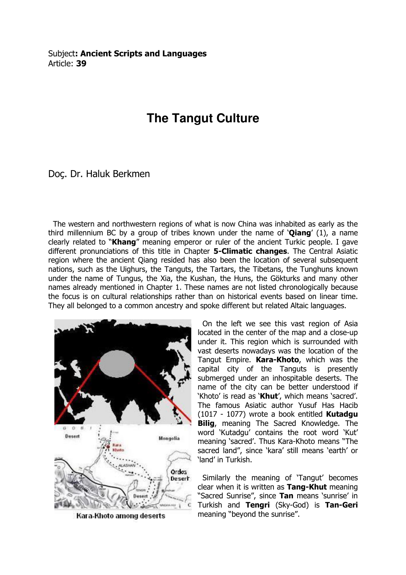## **The Tangut Culture**

Doç. Dr. Haluk Berkmen

 The western and northwestern regions of what is now China was inhabited as early as the third millennium BC by a group of tribes known under the name of ' $Qiang'$  (1), a name clearly related to "Khang" meaning emperor or ruler of the ancient Turkic people. I gave different pronunciations of this title in Chapter **5-Climatic changes**. The Central Asiatic region where the ancient Qiang resided has also been the location of several subsequent nations, such as the Uighurs, the Tanguts, the Tartars, the Tibetans, the Tunghuns known under the name of Tungus, the Xia, the Kushan, the Huns, the Gökturks and many other names already mentioned in Chapter 1. These names are not listed chronologically because the focus is on cultural relationships rather than on historical events based on linear time. They all belonged to a common ancestry and spoke different but related Altaic languages.



Kara-Khoto among deserts

 On the left we see this vast region of Asia located in the center of the map and a close-up under it. This region which is surrounded with vast deserts nowadays was the location of the Tangut Empire. Kara-Khoto, which was the capital city of the Tanguts is presently submerged under an inhospitable deserts. The name of the city can be better understood if 'Khoto' is read as 'Khut', which means 'sacred'. The famous Asiatic author Yusuf Has Hacib (1017 - 1077) wrote a book entitled Kutadgu **Bilig, meaning The Sacred Knowledge. The** word 'Kutadgu' contains the root word 'Kut' meaning 'sacred'. Thus Kara-Khoto means "The sacred land", since 'kara' still means 'earth' or 'land' in Turkish.

 Similarly the meaning of 'Tangut' becomes clear when it is written as Tang-Khut meaning "Sacred Sunrise", since Tan means 'sunrise' in Turkish and Tengri (Sky-God) is Tan-Geri meaning "beyond the sunrise".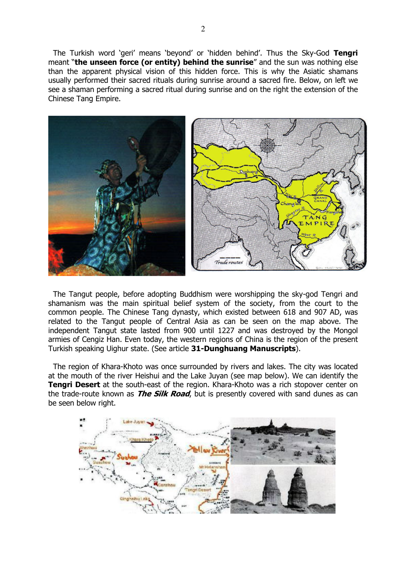The Turkish word 'geri' means 'beyond' or 'hidden behind'. Thus the Sky-God Tengri meant "the unseen force (or entity) behind the sunrise" and the sun was nothing else than the apparent physical vision of this hidden force. This is why the Asiatic shamans usually performed their sacred rituals during sunrise around a sacred fire. Below, on left we see a shaman performing a sacred ritual during sunrise and on the right the extension of the Chinese Tang Empire.



 The Tangut people, before adopting Buddhism were worshipping the sky-god Tengri and shamanism was the main spiritual belief system of the society, from the court to the common people. The Chinese Tang dynasty, which existed between 618 and 907 AD, was related to the Tangut people of Central Asia as can be seen on the map above. The independent Tangut state lasted from 900 until 1227 and was destroyed by the Mongol armies of Cengiz Han. Even today, the western regions of China is the region of the present Turkish speaking Uighur state. (See article 31-Dunghuang Manuscripts).

 The region of Khara-Khoto was once surrounded by rivers and lakes. The city was located at the mouth of the river Heishui and the Lake Juyan (see map below). We can identify the **Tengri Desert** at the south-east of the region. Khara-Khoto was a rich stopover center on the trade-route known as *The Silk Road*, but is presently covered with sand dunes as can be seen below right.